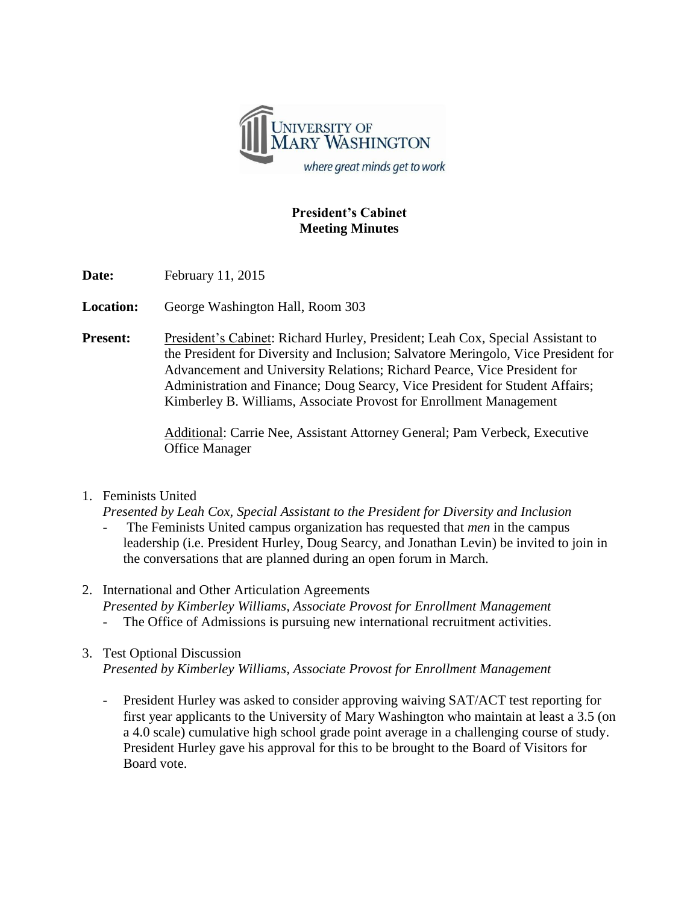

## **President's Cabinet Meeting Minutes**

**Date:** February 11, 2015

**Location:** George Washington Hall, Room 303

**Present:** President's Cabinet: Richard Hurley, President; Leah Cox, Special Assistant to the President for Diversity and Inclusion; Salvatore Meringolo, Vice President for Advancement and University Relations; Richard Pearce, Vice President for Administration and Finance; Doug Searcy, Vice President for Student Affairs; Kimberley B. Williams, Associate Provost for Enrollment Management

> Additional: Carrie Nee, Assistant Attorney General; Pam Verbeck, Executive Office Manager

## 1. Feminists United

*Presented by Leah Cox, Special Assistant to the President for Diversity and Inclusion*

- The Feminists United campus organization has requested that *men* in the campus leadership (i.e. President Hurley, Doug Searcy, and Jonathan Levin) be invited to join in the conversations that are planned during an open forum in March.
- 2. International and Other Articulation Agreements *Presented by Kimberley Williams, Associate Provost for Enrollment Management* The Office of Admissions is pursuing new international recruitment activities.
- 3. Test Optional Discussion *Presented by Kimberley Williams, Associate Provost for Enrollment Management*
	- President Hurley was asked to consider approving waiving SAT/ACT test reporting for first year applicants to the University of Mary Washington who maintain at least a 3.5 (on a 4.0 scale) cumulative high school grade point average in a challenging course of study. President Hurley gave his approval for this to be brought to the Board of Visitors for Board vote.